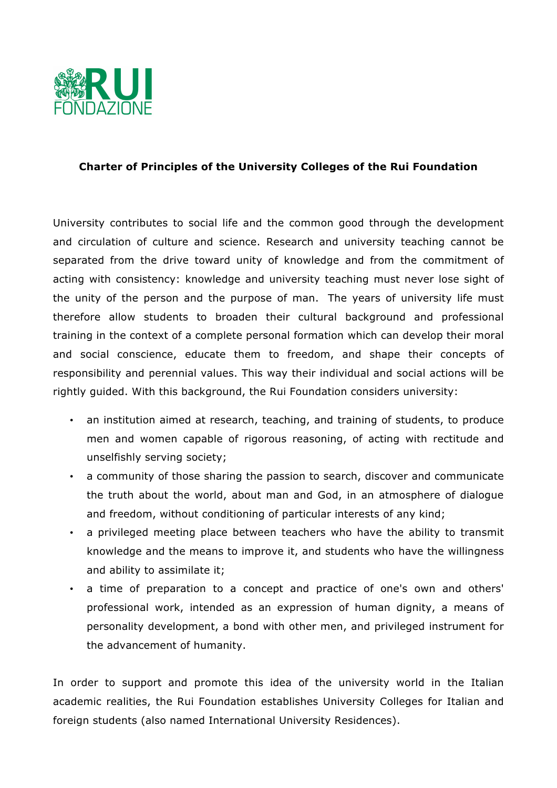

## **Charter of Principles of the University Colleges of the Rui Foundation**

University contributes to social life and the common good through the development and circulation of culture and science. Research and university teaching cannot be separated from the drive toward unity of knowledge and from the commitment of acting with consistency: knowledge and university teaching must never lose sight of the unity of the person and the purpose of man. The years of university life must therefore allow students to broaden their cultural background and professional training in the context of a complete personal formation which can develop their moral and social conscience, educate them to freedom, and shape their concepts of responsibility and perennial values. This way their individual and social actions will be rightly guided. With this background, the Rui Foundation considers university:

- an institution aimed at research, teaching, and training of students, to produce men and women capable of rigorous reasoning, of acting with rectitude and unselfishly serving society;
- a community of those sharing the passion to search, discover and communicate the truth about the world, about man and God, in an atmosphere of dialogue and freedom, without conditioning of particular interests of any kind;
- a privileged meeting place between teachers who have the ability to transmit knowledge and the means to improve it, and students who have the willingness and ability to assimilate it;
- a time of preparation to a concept and practice of one's own and others' professional work, intended as an expression of human dignity, a means of personality development, a bond with other men, and privileged instrument for the advancement of humanity.

In order to support and promote this idea of the university world in the Italian academic realities, the Rui Foundation establishes University Colleges for Italian and foreign students (also named International University Residences).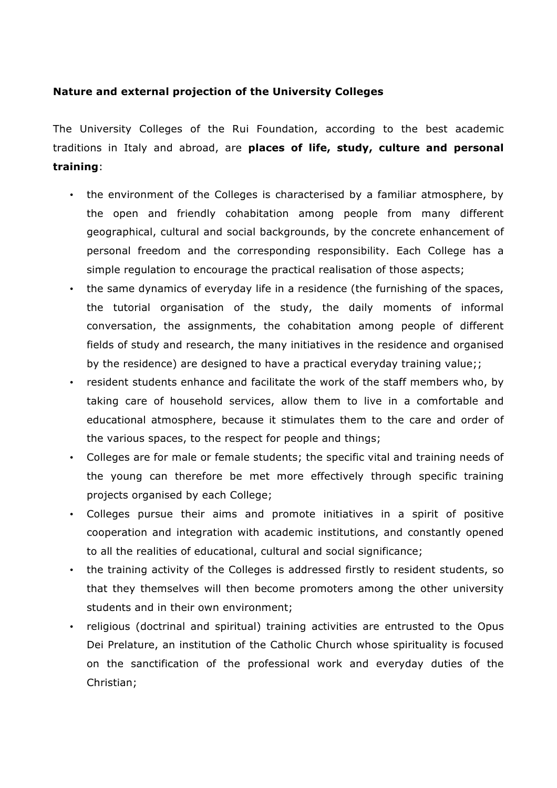## **Nature and external projection of the University Colleges**

The University Colleges of the Rui Foundation, according to the best academic traditions in Italy and abroad, are **places of life, study, culture and personal training**:

- the environment of the Colleges is characterised by a familiar atmosphere, by the open and friendly cohabitation among people from many different geographical, cultural and social backgrounds, by the concrete enhancement of personal freedom and the corresponding responsibility. Each College has a simple regulation to encourage the practical realisation of those aspects;
- the same dynamics of everyday life in a residence (the furnishing of the spaces, the tutorial organisation of the study, the daily moments of informal conversation, the assignments, the cohabitation among people of different fields of study and research, the many initiatives in the residence and organised by the residence) are designed to have a practical everyday training value;;
- resident students enhance and facilitate the work of the staff members who, by taking care of household services, allow them to live in a comfortable and educational atmosphere, because it stimulates them to the care and order of the various spaces, to the respect for people and things;
- Colleges are for male or female students; the specific vital and training needs of the young can therefore be met more effectively through specific training projects organised by each College;
- Colleges pursue their aims and promote initiatives in a spirit of positive cooperation and integration with academic institutions, and constantly opened to all the realities of educational, cultural and social significance;
- the training activity of the Colleges is addressed firstly to resident students, so that they themselves will then become promoters among the other university students and in their own environment;
- religious (doctrinal and spiritual) training activities are entrusted to the Opus Dei Prelature, an institution of the Catholic Church whose spirituality is focused on the sanctification of the professional work and everyday duties of the Christian;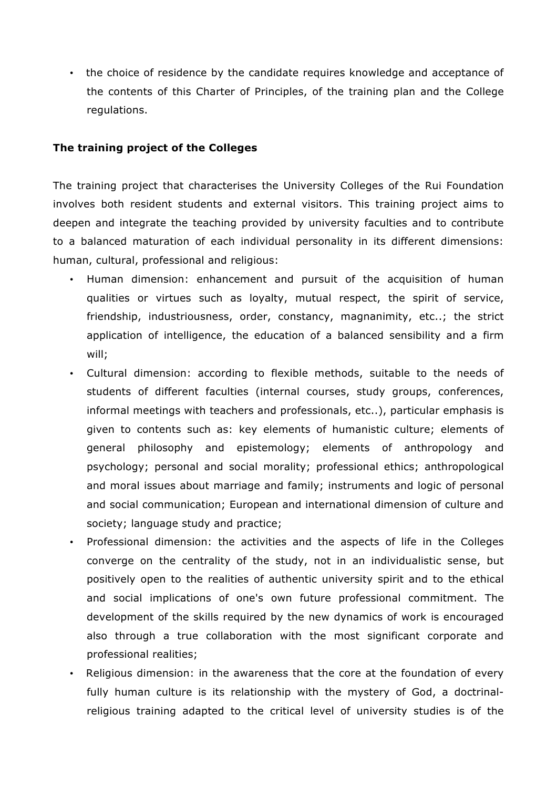• the choice of residence by the candidate requires knowledge and acceptance of the contents of this Charter of Principles, of the training plan and the College regulations.

## **The training project of the Colleges**

The training project that characterises the University Colleges of the Rui Foundation involves both resident students and external visitors. This training project aims to deepen and integrate the teaching provided by university faculties and to contribute to a balanced maturation of each individual personality in its different dimensions: human, cultural, professional and religious:

- Human dimension: enhancement and pursuit of the acquisition of human qualities or virtues such as loyalty, mutual respect, the spirit of service, friendship, industriousness, order, constancy, magnanimity, etc..; the strict application of intelligence, the education of a balanced sensibility and a firm will;
- Cultural dimension: according to flexible methods, suitable to the needs of students of different faculties (internal courses, study groups, conferences, informal meetings with teachers and professionals, etc..), particular emphasis is given to contents such as: key elements of humanistic culture; elements of general philosophy and epistemology; elements of anthropology and psychology; personal and social morality; professional ethics; anthropological and moral issues about marriage and family; instruments and logic of personal and social communication; European and international dimension of culture and society; language study and practice;
- Professional dimension: the activities and the aspects of life in the Colleges converge on the centrality of the study, not in an individualistic sense, but positively open to the realities of authentic university spirit and to the ethical and social implications of one's own future professional commitment. The development of the skills required by the new dynamics of work is encouraged also through a true collaboration with the most significant corporate and professional realities;
- Religious dimension: in the awareness that the core at the foundation of every fully human culture is its relationship with the mystery of God, a doctrinalreligious training adapted to the critical level of university studies is of the